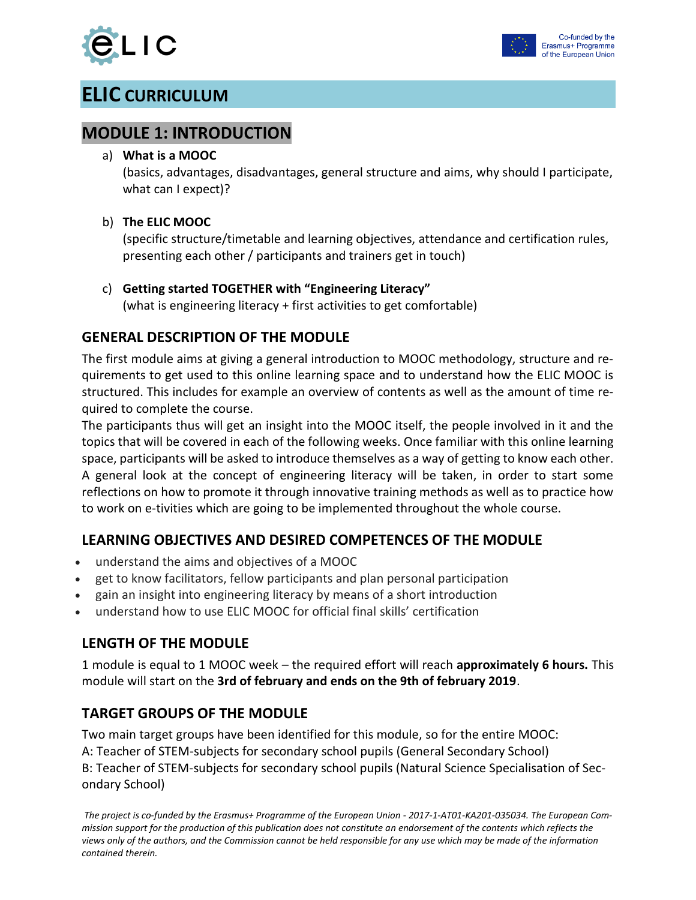

# **ELIC CURRICULUM**

### **MODULE 1: INTRODUCTION**

#### a) **What is a MOOC**

(basics, advantages, disadvantages, general structure and aims, why should I participate, what can I expect)?

#### b) **The ELIC MOOC**

(specific structure/timetable and learning objectives, attendance and certification rules, presenting each other / participants and trainers get in touch)

#### c) **Getting started TOGETHER with "Engineering Literacy"**

(what is engineering literacy + first activities to get comfortable)

#### **GENERAL DESCRIPTION OF THE MODULE**

The first module aims at giving a general introduction to MOOC methodology, structure and requirements to get used to this online learning space and to understand how the ELIC MOOC is structured. This includes for example an overview of contents as well as the amount of time required to complete the course.

The participants thus will get an insight into the MOOC itself, the people involved in it and the topics that will be covered in each of the following weeks. Once familiar with this online learning space, participants will be asked to introduce themselves as a way of getting to know each other. A general look at the concept of engineering literacy will be taken, in order to start some reflections on how to promote it through innovative training methods as well as to practice how to work on e-tivities which are going to be implemented throughout the whole course.

#### **LEARNING OBJECTIVES AND DESIRED COMPETENCES OF THE MODULE**

- understand the aims and objectives of a MOOC
- get to know facilitators, fellow participants and plan personal participation
- gain an insight into engineering literacy by means of a short introduction
- understand how to use ELIC MOOC for official final skills' certification

## **LENGTH OF THE MODULE**

1 module is equal to 1 MOOC week – the required effort will reach **approximately 6 hours.** This module will start on the **3rd of february and ends on the 9th of february 2019**.

## **TARGET GROUPS OF THE MODULE**

Two main target groups have been identified for this module, so for the entire MOOC: A: Teacher of STEM-subjects for secondary school pupils (General Secondary School) B: Teacher of STEM-subjects for secondary school pupils (Natural Science Specialisation of Secondary School)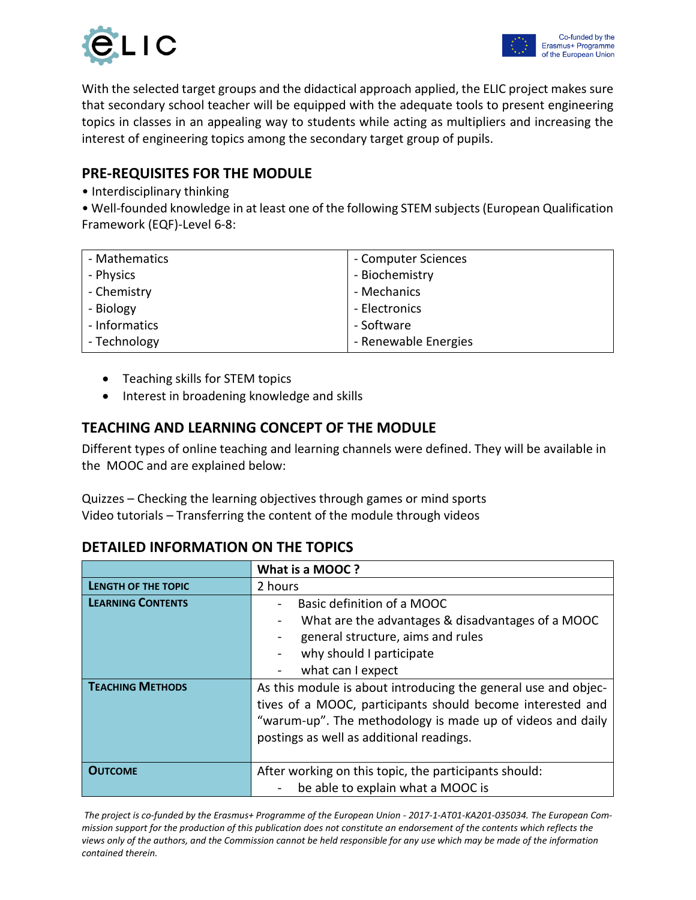



With the selected target groups and the didactical approach applied, the ELIC project makes sure that secondary school teacher will be equipped with the adequate tools to present engineering topics in classes in an appealing way to students while acting as multipliers and increasing the interest of engineering topics among the secondary target group of pupils.

#### **PRE-REQUISITES FOR THE MODULE**

• Interdisciplinary thinking

• Well-founded knowledge in at least one of the following STEM subjects (European Qualification Framework (EQF)-Level 6-8:

| - Mathematics | - Computer Sciences  |
|---------------|----------------------|
| - Physics     | - Biochemistry       |
| - Chemistry   | - Mechanics          |
| - Biology     | - Electronics        |
| - Informatics | - Software           |
| - Technology  | - Renewable Energies |

- Teaching skills for STEM topics
- Interest in broadening knowledge and skills

#### **TEACHING AND LEARNING CONCEPT OF THE MODULE**

Different types of online teaching and learning channels were defined. They will be available in the MOOC and are explained below:

Quizzes – Checking the learning objectives through games or mind sports Video tutorials – Transferring the content of the module through videos

#### **DETAILED INFORMATION ON THE TOPICS**

|                            | What is a MOOC?                                                                                                                                                                                                                        |
|----------------------------|----------------------------------------------------------------------------------------------------------------------------------------------------------------------------------------------------------------------------------------|
| <b>LENGTH OF THE TOPIC</b> | 2 hours                                                                                                                                                                                                                                |
| <b>LEARNING CONTENTS</b>   | Basic definition of a MOOC<br>What are the advantages & disadvantages of a MOOC<br>general structure, aims and rules<br>why should I participate                                                                                       |
|                            | what can I expect                                                                                                                                                                                                                      |
| <b>TEACHING METHODS</b>    | As this module is about introducing the general use and objec-<br>tives of a MOOC, participants should become interested and<br>"warum-up". The methodology is made up of videos and daily<br>postings as well as additional readings. |
| <b>OUTCOME</b>             | After working on this topic, the participants should:<br>be able to explain what a MOOC is                                                                                                                                             |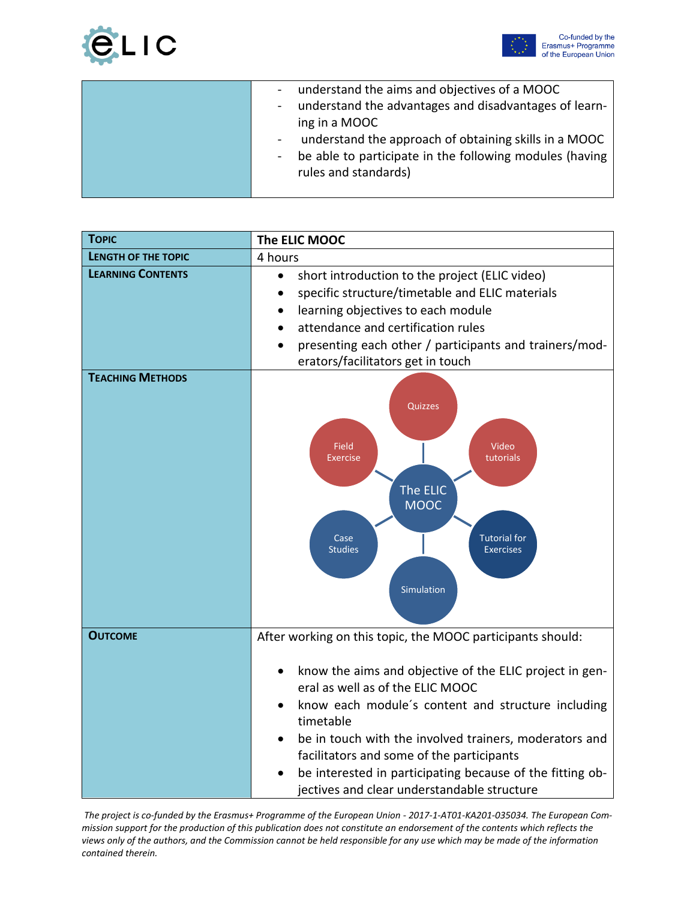



| understand the aims and objectives of a MOOC<br>$\sim$                  |
|-------------------------------------------------------------------------|
| understand the advantages and disadvantages of learn-<br>$\blacksquare$ |
| ing in a MOOC                                                           |
| understand the approach of obtaining skills in a MOOC<br>$\sim$         |
| be able to participate in the following modules (having<br>$\sim$       |
| rules and standards)                                                    |
|                                                                         |

| <b>TOPIC</b>               | The ELIC MOOC                                                                                                                                                                                                                                                                                                                                                                                                                                                |
|----------------------------|--------------------------------------------------------------------------------------------------------------------------------------------------------------------------------------------------------------------------------------------------------------------------------------------------------------------------------------------------------------------------------------------------------------------------------------------------------------|
| <b>LENGTH OF THE TOPIC</b> | 4 hours                                                                                                                                                                                                                                                                                                                                                                                                                                                      |
| <b>LEARNING CONTENTS</b>   | short introduction to the project (ELIC video)<br>$\bullet$<br>specific structure/timetable and ELIC materials<br>$\bullet$<br>learning objectives to each module<br>$\bullet$<br>attendance and certification rules<br>presenting each other / participants and trainers/mod-<br>erators/facilitators get in touch                                                                                                                                          |
| <b>TEACHING METHODS</b>    | Quizzes<br><b>Field</b><br>Video<br><b>Exercise</b><br>tutorials<br>The ELIC<br><b>MOOC</b><br>Case<br><b>Tutorial for</b><br><b>Studies</b><br><b>Exercises</b><br>Simulation                                                                                                                                                                                                                                                                               |
| <b>OUTCOME</b>             | After working on this topic, the MOOC participants should:<br>know the aims and objective of the ELIC project in gen-<br>eral as well as of the ELIC MOOC<br>know each module's content and structure including<br>timetable<br>be in touch with the involved trainers, moderators and<br>facilitators and some of the participants<br>be interested in participating because of the fitting ob-<br>$\bullet$<br>jectives and clear understandable structure |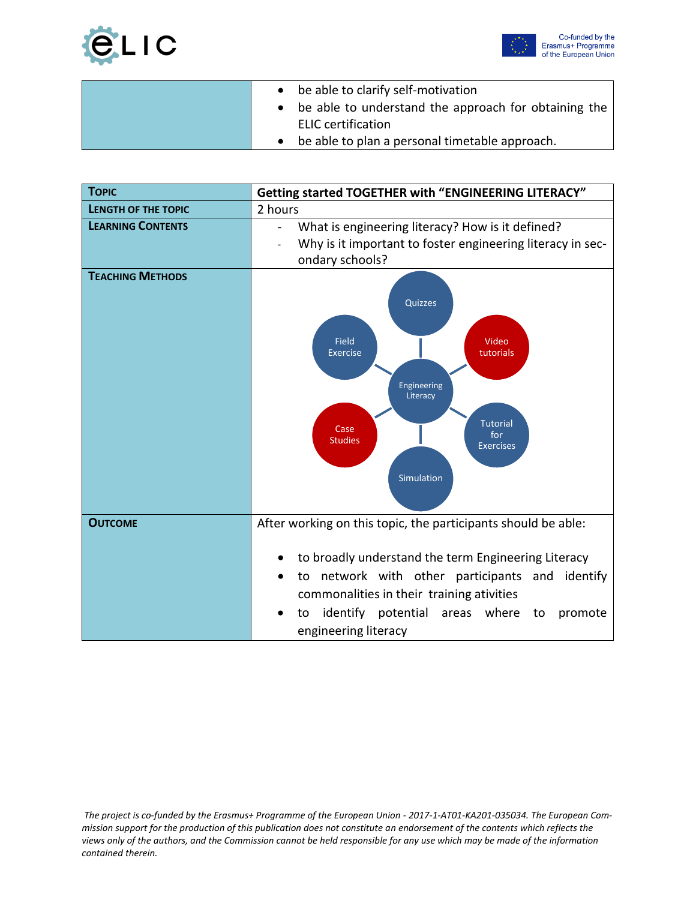



| • be able to clarify self-motivation                   |
|--------------------------------------------------------|
| • be able to understand the approach for obtaining the |
| <b>ELIC</b> certification                              |
| be able to plan a personal timetable approach.         |

| <b>TOPIC</b>               | Getting started TOGETHER with "ENGINEERING LITERACY"                                                                                                                                                                                                                                                  |
|----------------------------|-------------------------------------------------------------------------------------------------------------------------------------------------------------------------------------------------------------------------------------------------------------------------------------------------------|
| <b>LENGTH OF THE TOPIC</b> | 2 hours                                                                                                                                                                                                                                                                                               |
| <b>LEARNING CONTENTS</b>   | What is engineering literacy? How is it defined?<br>Why is it important to foster engineering literacy in sec-<br>ondary schools?                                                                                                                                                                     |
| <b>TEACHING METHODS</b>    | Quizzes<br>Field<br>Video<br><b>Exercise</b><br>tutorials<br>Engineering<br>Literacy<br><b>Tutorial</b><br>Case<br>for<br><b>Studies</b><br><b>Exercises</b><br>Simulation                                                                                                                            |
| <b>OUTCOME</b>             | After working on this topic, the participants should be able:<br>to broadly understand the term Engineering Literacy<br>to network with other participants and identify<br>commonalities in their training ativities<br>identify potential areas where<br>promote<br>to<br>to<br>engineering literacy |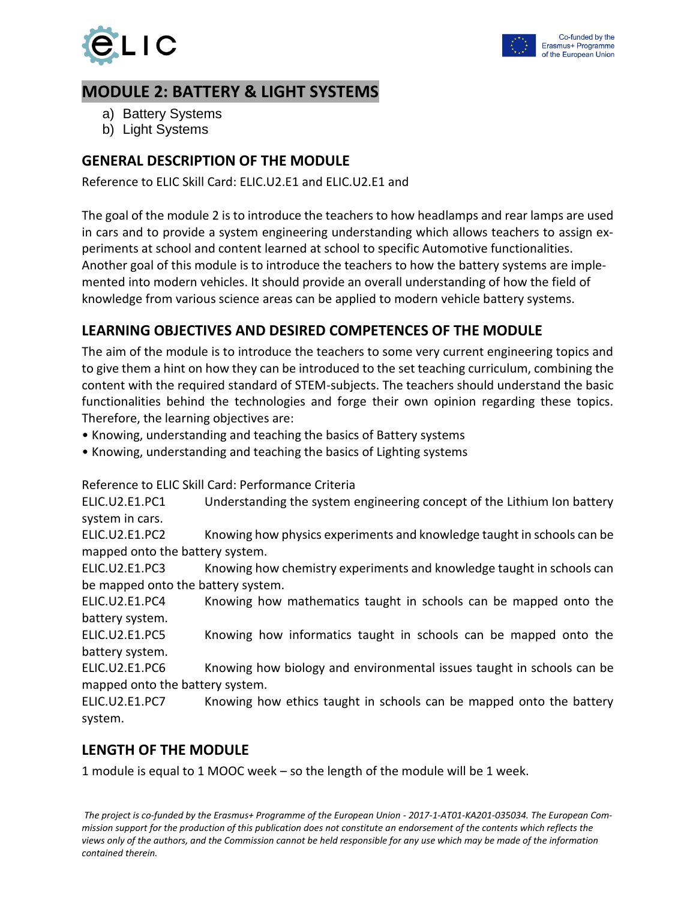

## **MODULE 2: BATTERY & LIGHT SYSTEMS**

- a) Battery Systems
- b) Light Systems

## **GENERAL DESCRIPTION OF THE MODULE**

Reference to ELIC Skill Card: ELIC.U2.E1 and ELIC.U2.E1 and

The goal of the module 2 is to introduce the teachers to how headlamps and rear lamps are used in cars and to provide a system engineering understanding which allows teachers to assign experiments at school and content learned at school to specific Automotive functionalities. Another goal of this module is to introduce the teachers to how the battery systems are implemented into modern vehicles. It should provide an overall understanding of how the field of knowledge from various science areas can be applied to modern vehicle battery systems.

## **LEARNING OBJECTIVES AND DESIRED COMPETENCES OF THE MODULE**

The aim of the module is to introduce the teachers to some very current engineering topics and to give them a hint on how they can be introduced to the set teaching curriculum, combining the content with the required standard of STEM-subjects. The teachers should understand the basic functionalities behind the technologies and forge their own opinion regarding these topics. Therefore, the learning objectives are:

- Knowing, understanding and teaching the basics of Battery systems
- Knowing, understanding and teaching the basics of Lighting systems

Reference to ELIC Skill Card: Performance Criteria

ELIC.U2.E1.PC1 Understanding the system engineering concept of the Lithium Ion battery system in cars.

ELIC.U2.E1.PC2 Knowing how physics experiments and knowledge taught in schools can be mapped onto the battery system.

ELIC.U2.E1.PC3 Knowing how chemistry experiments and knowledge taught in schools can be mapped onto the battery system.

ELIC.U2.E1.PC4 Knowing how mathematics taught in schools can be mapped onto the battery system.

ELIC.U2.E1.PC5 Knowing how informatics taught in schools can be mapped onto the battery system.

ELIC.U2.E1.PC6 Knowing how biology and environmental issues taught in schools can be mapped onto the battery system.

ELIC.U2.E1.PC7 Knowing how ethics taught in schools can be mapped onto the battery system.

#### **LENGTH OF THE MODULE**

1 module is equal to 1 MOOC week – so the length of the module will be 1 week.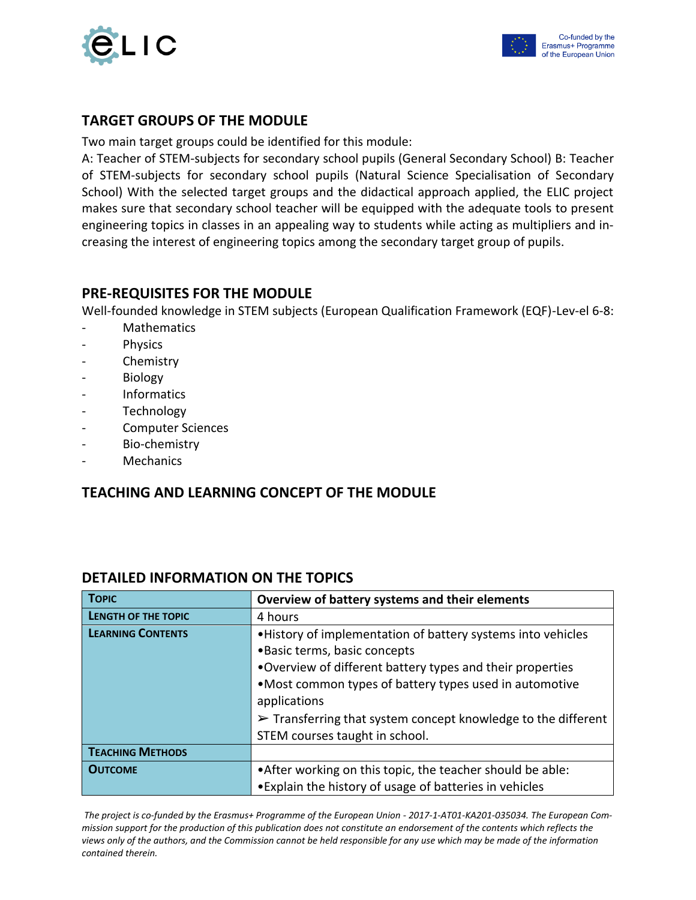



#### **TARGET GROUPS OF THE MODULE**

Two main target groups could be identified for this module:

A: Teacher of STEM-subjects for secondary school pupils (General Secondary School) B: Teacher of STEM-subjects for secondary school pupils (Natural Science Specialisation of Secondary School) With the selected target groups and the didactical approach applied, the ELIC project makes sure that secondary school teacher will be equipped with the adequate tools to present engineering topics in classes in an appealing way to students while acting as multipliers and increasing the interest of engineering topics among the secondary target group of pupils.

#### **PRE-REQUISITES FOR THE MODULE**

Well-founded knowledge in STEM subjects (European Qualification Framework (EQF)-Lev-el 6-8:

- **Mathematics**
- Physics
- **Chemistry**
- **Biology**
- **Informatics**
- **Technology**
- Computer Sciences
- Bio-chemistry
- Mechanics

#### **TEACHING AND LEARNING CONCEPT OF THE MODULE**

| <b>TOPIC</b>               | Overview of battery systems and their elements                               |
|----------------------------|------------------------------------------------------------------------------|
| <b>LENGTH OF THE TOPIC</b> | 4 hours                                                                      |
| <b>LEARNING CONTENTS</b>   | . History of implementation of battery systems into vehicles                 |
|                            | · Basic terms, basic concepts                                                |
|                            | . Overview of different battery types and their properties                   |
|                            | •Most common types of battery types used in automotive                       |
|                            | applications                                                                 |
|                            | $\triangleright$ Transferring that system concept knowledge to the different |
|                            | STEM courses taught in school.                                               |
| <b>TEACHING METHODS</b>    |                                                                              |
| <b>OUTCOME</b>             | • After working on this topic, the teacher should be able:                   |
|                            | • Explain the history of usage of batteries in vehicles                      |

#### **DETAILED INFORMATION ON THE TOPICS**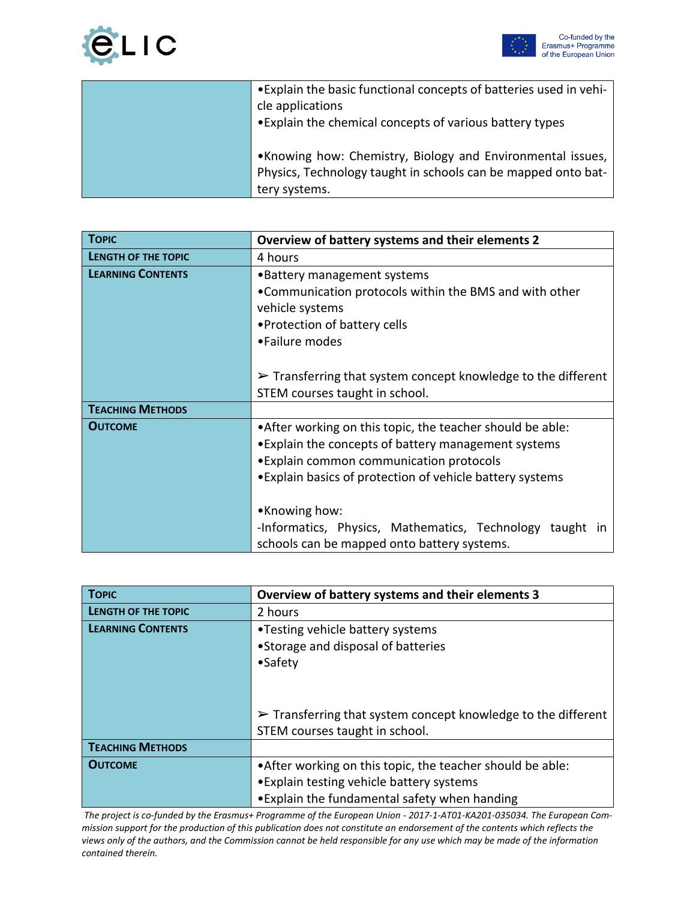



| • Explain the basic functional concepts of batteries used in vehi- |
|--------------------------------------------------------------------|
| cle applications                                                   |
| • Explain the chemical concepts of various battery types           |
|                                                                    |
| •Knowing how: Chemistry, Biology and Environmental issues,         |
| Physics, Technology taught in schools can be mapped onto bat-      |
| tery systems.                                                      |

| <b>TOPIC</b>               | Overview of battery systems and their elements 2                             |
|----------------------------|------------------------------------------------------------------------------|
| <b>LENGTH OF THE TOPIC</b> | 4 hours                                                                      |
| <b>LEARNING CONTENTS</b>   | •Battery management systems                                                  |
|                            | •Communication protocols within the BMS and with other                       |
|                            | vehicle systems                                                              |
|                            | • Protection of battery cells                                                |
|                            | •Failure modes                                                               |
|                            |                                                                              |
|                            | $\triangleright$ Transferring that system concept knowledge to the different |
|                            | STEM courses taught in school.                                               |
| <b>TEACHING METHODS</b>    |                                                                              |
| <b>OUTCOME</b>             | • After working on this topic, the teacher should be able:                   |
|                            | • Explain the concepts of battery management systems                         |
|                            | • Explain common communication protocols                                     |
|                            | • Explain basics of protection of vehicle battery systems                    |
|                            |                                                                              |
|                            | •Knowing how:                                                                |
|                            | -Informatics, Physics, Mathematics, Technology<br>taught<br>$\mathsf{In}$    |
|                            | schools can be mapped onto battery systems.                                  |

| <b>TOPIC</b>             | Overview of battery systems and their elements 3                             |
|--------------------------|------------------------------------------------------------------------------|
| LENGTH OF THE TOPIC      | 2 hours                                                                      |
| <b>LEARNING CONTENTS</b> | •Testing vehicle battery systems                                             |
|                          | •Storage and disposal of batteries                                           |
|                          | $\bullet$ Safety                                                             |
|                          |                                                                              |
|                          |                                                                              |
|                          | $\triangleright$ Transferring that system concept knowledge to the different |
|                          | STEM courses taught in school.                                               |
| <b>TEACHING METHODS</b>  |                                                                              |
| <b>OUTCOME</b>           | • After working on this topic, the teacher should be able:                   |
|                          | • Explain testing vehicle battery systems                                    |
|                          | • Explain the fundamental safety when handing                                |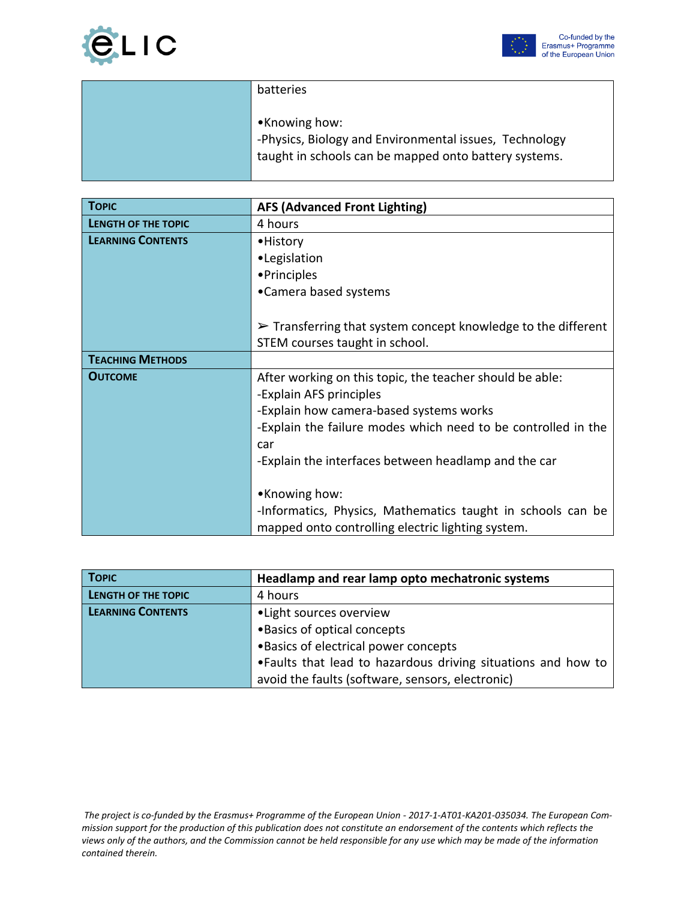



| batteries                                                                                                                        |
|----------------------------------------------------------------------------------------------------------------------------------|
| •Knowing how:<br>-Physics, Biology and Environmental issues, Technology<br>taught in schools can be mapped onto battery systems. |

| <b>TOPIC</b>             | <b>AFS (Advanced Front Lighting)</b>                                                                             |
|--------------------------|------------------------------------------------------------------------------------------------------------------|
| LENGTH OF THE TOPIC      | 4 hours                                                                                                          |
| <b>LEARNING CONTENTS</b> | • History                                                                                                        |
|                          | •Legislation                                                                                                     |
|                          | • Principles                                                                                                     |
|                          | •Camera based systems                                                                                            |
|                          |                                                                                                                  |
|                          | $\triangleright$ Transferring that system concept knowledge to the different                                     |
|                          | STEM courses taught in school.                                                                                   |
| <b>TEACHING METHODS</b>  |                                                                                                                  |
| <b>OUTCOME</b>           | After working on this topic, the teacher should be able:                                                         |
|                          | -Explain AFS principles                                                                                          |
|                          | -Explain how camera-based systems works                                                                          |
|                          | -Explain the failure modes which need to be controlled in the                                                    |
|                          | car                                                                                                              |
|                          | -Explain the interfaces between headlamp and the car                                                             |
|                          |                                                                                                                  |
|                          | •Knowing how:                                                                                                    |
|                          | -Informatics, Physics, Mathematics taught in schools can be<br>mapped onto controlling electric lighting system. |

| <b>TOPIC</b>               | Headlamp and rear lamp opto mechatronic systems               |
|----------------------------|---------------------------------------------------------------|
| <b>LENGTH OF THE TOPIC</b> | 4 hours                                                       |
| <b>LEARNING CONTENTS</b>   | • Light sources overview                                      |
|                            | • Basics of optical concepts                                  |
|                            | . Basics of electrical power concepts                         |
|                            | • Faults that lead to hazardous driving situations and how to |
|                            | avoid the faults (software, sensors, electronic)              |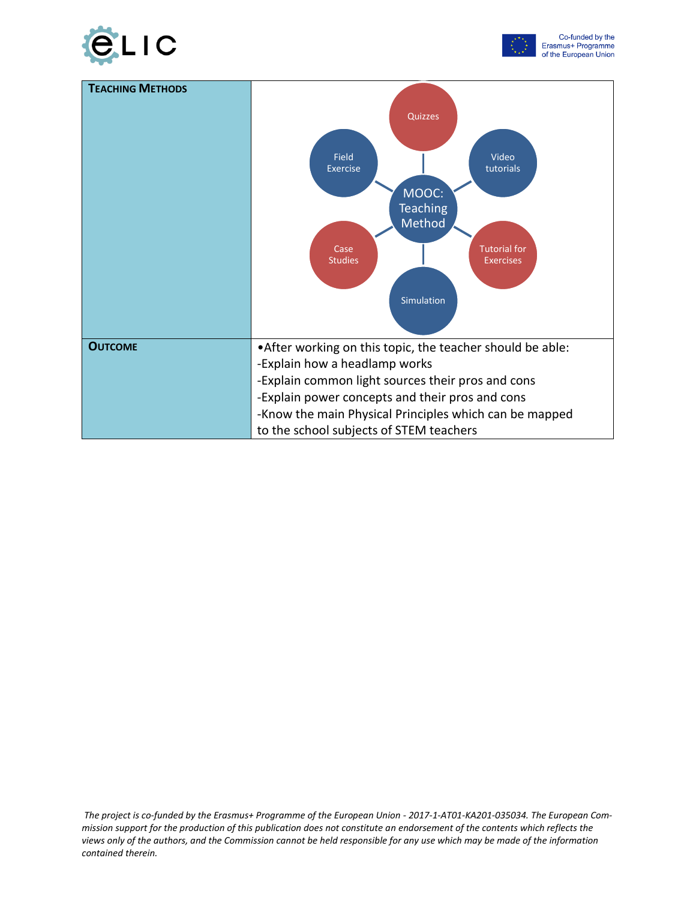



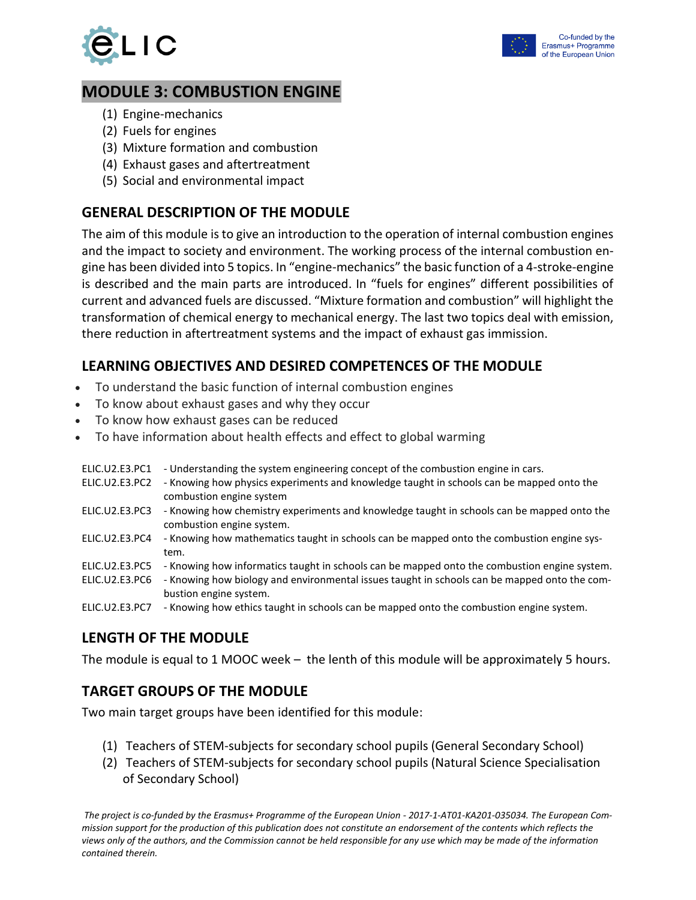



## **MODULE 3: COMBUSTION ENGINE**

- (1) Engine-mechanics
- (2) Fuels for engines
- (3) Mixture formation and combustion
- (4) Exhaust gases and aftertreatment
- (5) Social and environmental impact

### **GENERAL DESCRIPTION OF THE MODULE**

The aim of this module is to give an introduction to the operation of internal combustion engines and the impact to society and environment. The working process of the internal combustion engine has been divided into 5 topics. In "engine-mechanics" the basic function of a 4-stroke-engine is described and the main parts are introduced. In "fuels for engines" different possibilities of current and advanced fuels are discussed. "Mixture formation and combustion" will highlight the transformation of chemical energy to mechanical energy. The last two topics deal with emission, there reduction in aftertreatment systems and the impact of exhaust gas immission.

#### **LEARNING OBJECTIVES AND DESIRED COMPETENCES OF THE MODULE**

- To understand the basic function of internal combustion engines
- To know about exhaust gases and why they occur
- To know how exhaust gases can be reduced
- To have information about health effects and effect to global warming
- ELIC.U2.E3.PC1 Understanding the system engineering concept of the combustion engine in cars. ELIC.U2.E3.PC2 - Knowing how physics experiments and knowledge taught in schools can be mapped onto the combustion engine system ELIC.U2.E3.PC3 - Knowing how chemistry experiments and knowledge taught in schools can be mapped onto the combustion engine system. ELIC.U2.E3.PC4 - Knowing how mathematics taught in schools can be mapped onto the combustion engine system. ELIC.U2.E3.PC5 - Knowing how informatics taught in schools can be mapped onto the combustion engine system. ELIC.U2.E3.PC6 - Knowing how biology and environmental issues taught in schools can be mapped onto the combustion engine system. ELIC.U2.E3.PC7 - Knowing how ethics taught in schools can be mapped onto the combustion engine system.

## **LENGTH OF THE MODULE**

The module is equal to 1 MOOC week – the lenth of this module will be approximately 5 hours.

#### **TARGET GROUPS OF THE MODULE**

Two main target groups have been identified for this module:

- (1) Teachers of STEM-subjects for secondary school pupils (General Secondary School)
- (2) Teachers of STEM-subjects for secondary school pupils (Natural Science Specialisation of Secondary School)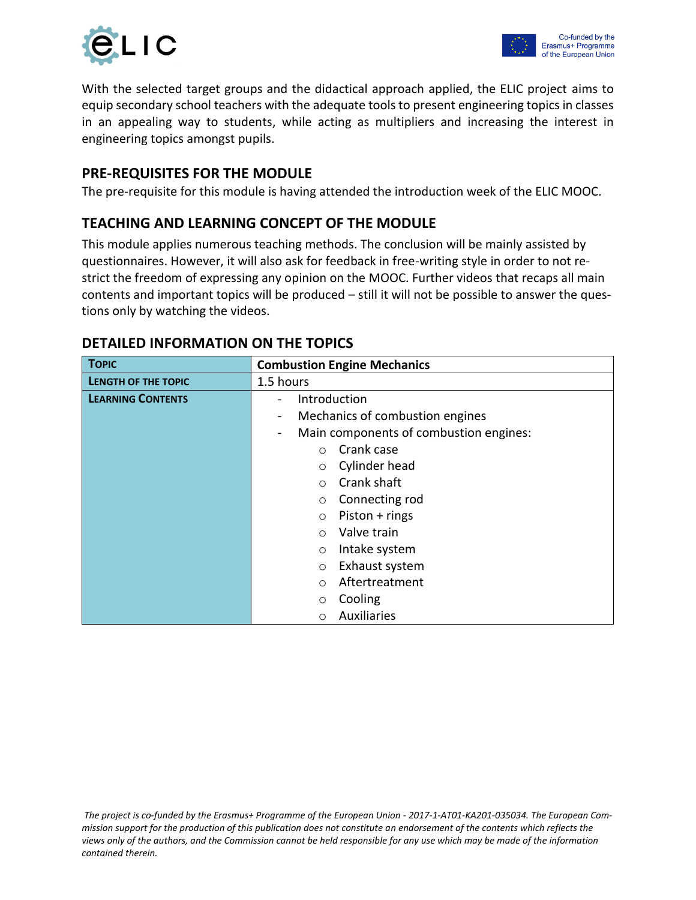



With the selected target groups and the didactical approach applied, the ELIC project aims to equip secondary school teachers with the adequate tools to present engineering topics in classes in an appealing way to students, while acting as multipliers and increasing the interest in engineering topics amongst pupils.

#### **PRE-REQUISITES FOR THE MODULE**

The pre-requisite for this module is having attended the introduction week of the ELIC MOOC.

#### **TEACHING AND LEARNING CONCEPT OF THE MODULE**

This module applies numerous teaching methods. The conclusion will be mainly assisted by questionnaires. However, it will also ask for feedback in free-writing style in order to not restrict the freedom of expressing any opinion on the MOOC. Further videos that recaps all main contents and important topics will be produced – still it will not be possible to answer the questions only by watching the videos.

| <b>TOPIC</b>               | <b>Combustion Engine Mechanics</b>                                 |
|----------------------------|--------------------------------------------------------------------|
| <b>LENGTH OF THE TOPIC</b> | 1.5 hours                                                          |
| <b>LEARNING CONTENTS</b>   | Introduction<br>$\overline{\phantom{0}}$                           |
|                            | Mechanics of combustion engines<br>$\qquad \qquad \blacksquare$    |
|                            | Main components of combustion engines:<br>$\overline{\phantom{0}}$ |
|                            | Crank case<br>$\circ$                                              |
|                            | Cylinder head<br>$\circ$                                           |
|                            | Crank shaft<br>$\Omega$                                            |
|                            | Connecting rod<br>$\circ$                                          |
|                            | Piston + rings<br>$\circ$                                          |
|                            | Valve train<br>$\circ$                                             |
|                            | Intake system<br>$\circ$                                           |
|                            | Exhaust system<br>$\circ$                                          |
|                            | Aftertreatment<br>$\circ$                                          |
|                            | Cooling<br>O                                                       |
|                            | Auxiliaries<br>O                                                   |

#### **DETAILED INFORMATION ON THE TOPICS**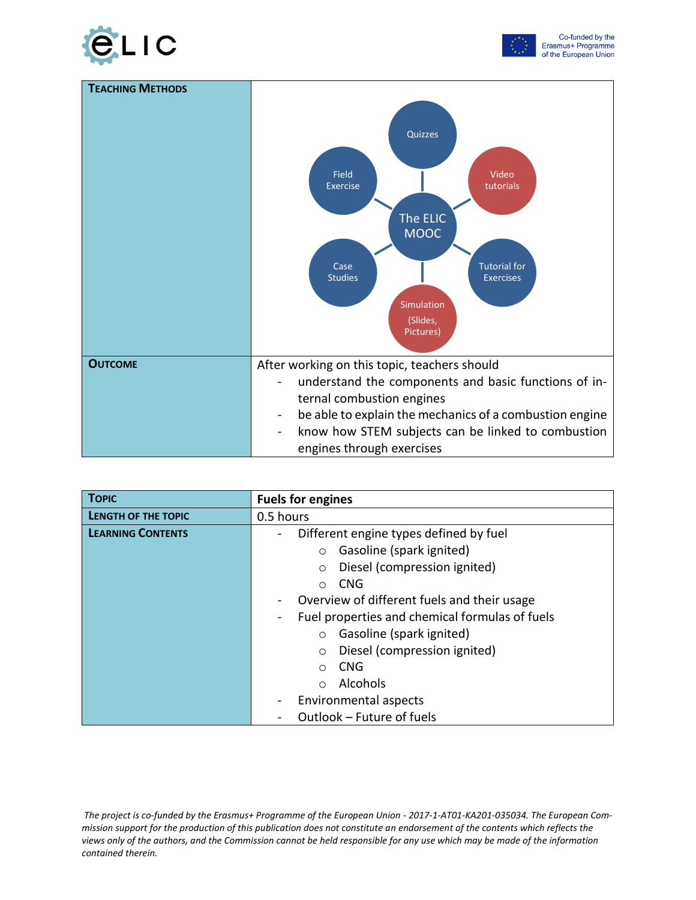





| <b>TOPIC</b>               | <b>Fuels for engines</b>                       |
|----------------------------|------------------------------------------------|
| <b>LENGTH OF THE TOPIC</b> | 0.5 hours                                      |
| <b>LEARNING CONTENTS</b>   | Different engine types defined by fuel         |
|                            | Gasoline (spark ignited)<br>$\circ$            |
|                            | Diesel (compression ignited)<br>$\circ$        |
|                            | <b>CNG</b><br>◯                                |
|                            | Overview of different fuels and their usage    |
|                            | Fuel properties and chemical formulas of fuels |
|                            | Gasoline (spark ignited)<br>$\circ$            |
|                            | Diesel (compression ignited)<br>$\circ$        |
|                            | <b>CNG</b><br>$\bigcirc$                       |
|                            | Alcohols<br>$\bigcirc$                         |
|                            | Environmental aspects                          |
|                            | Outlook - Future of fuels                      |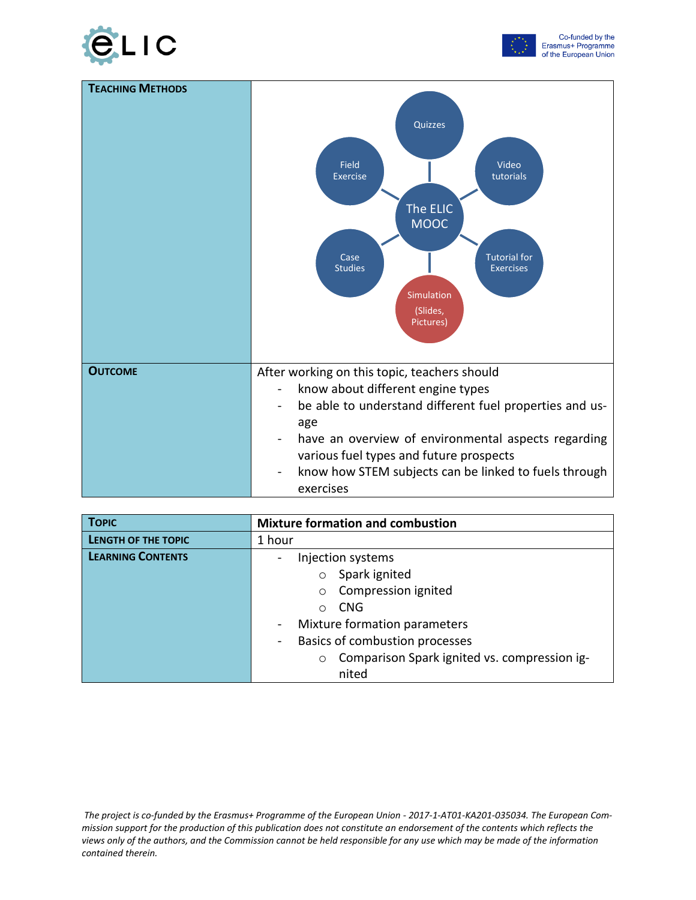





| <b>TOPIC</b>             | <b>Mixture formation and combustion</b>                        |
|--------------------------|----------------------------------------------------------------|
| LENGTH OF THE TOPIC      | 1 hour                                                         |
| <b>LEARNING CONTENTS</b> | Injection systems                                              |
|                          | Spark ignited<br>$\circ$                                       |
|                          | Compression ignited<br>$\circ$                                 |
|                          | <b>CNG</b><br>$\bigcirc$                                       |
|                          | Mixture formation parameters<br>$\blacksquare$                 |
|                          | Basics of combustion processes<br>$\qquad \qquad \blacksquare$ |
|                          | Comparison Spark ignited vs. compression ig-<br>$\circ$        |
|                          | nited                                                          |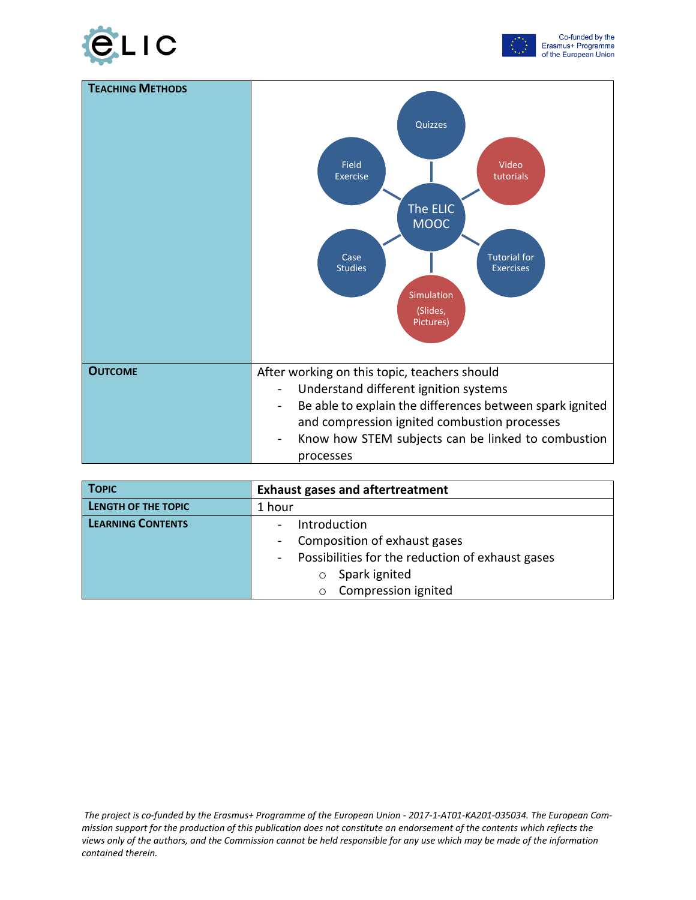





| <b>TOPIC</b>             | <b>Exhaust gases and aftertreatment</b>                 |
|--------------------------|---------------------------------------------------------|
| LENGTH OF THE TOPIC      | 1 hour                                                  |
| <b>LEARNING CONTENTS</b> | Introduction<br>$\blacksquare$                          |
|                          | Composition of exhaust gases<br>$\blacksquare$          |
|                          | Possibilities for the reduction of exhaust gases<br>$-$ |
|                          | Spark ignited<br>$\circ$                                |
|                          | Compression ignited<br>$\circ$                          |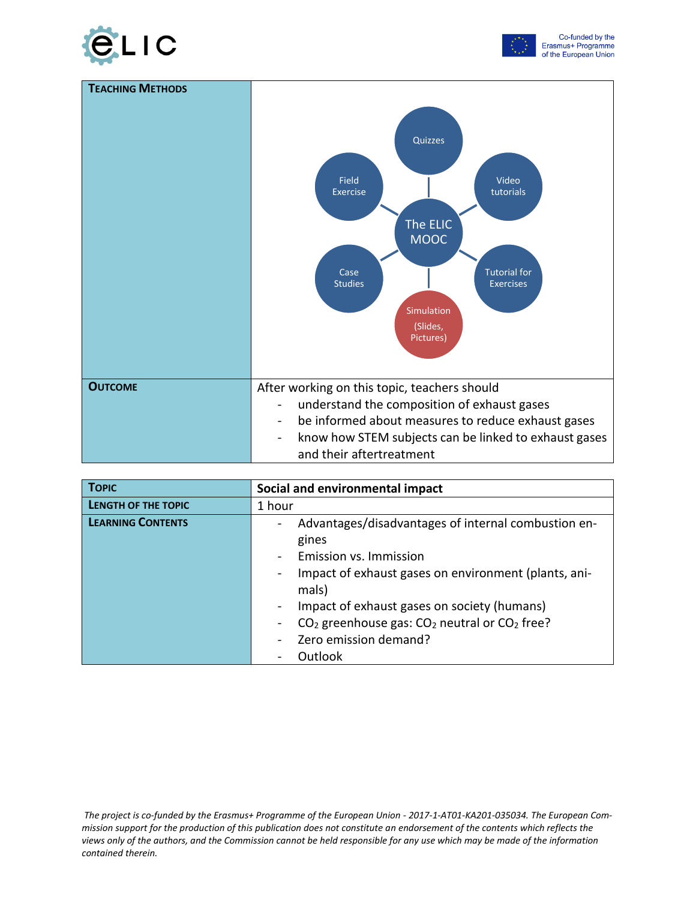





| <b>TOPIC</b>               | Social and environmental impact                                                  |
|----------------------------|----------------------------------------------------------------------------------|
| <b>LENGTH OF THE TOPIC</b> | 1 hour                                                                           |
| <b>LEARNING CONTENTS</b>   | Advantages/disadvantages of internal combustion en-                              |
|                            | gines                                                                            |
|                            | Emission vs. Immission                                                           |
|                            | Impact of exhaust gases on environment (plants, ani-                             |
|                            | mals)                                                                            |
|                            | Impact of exhaust gases on society (humans)                                      |
|                            | CO <sub>2</sub> greenhouse gas: CO <sub>2</sub> neutral or CO <sub>2</sub> free? |
|                            | Zero emission demand?                                                            |
|                            | Outlook                                                                          |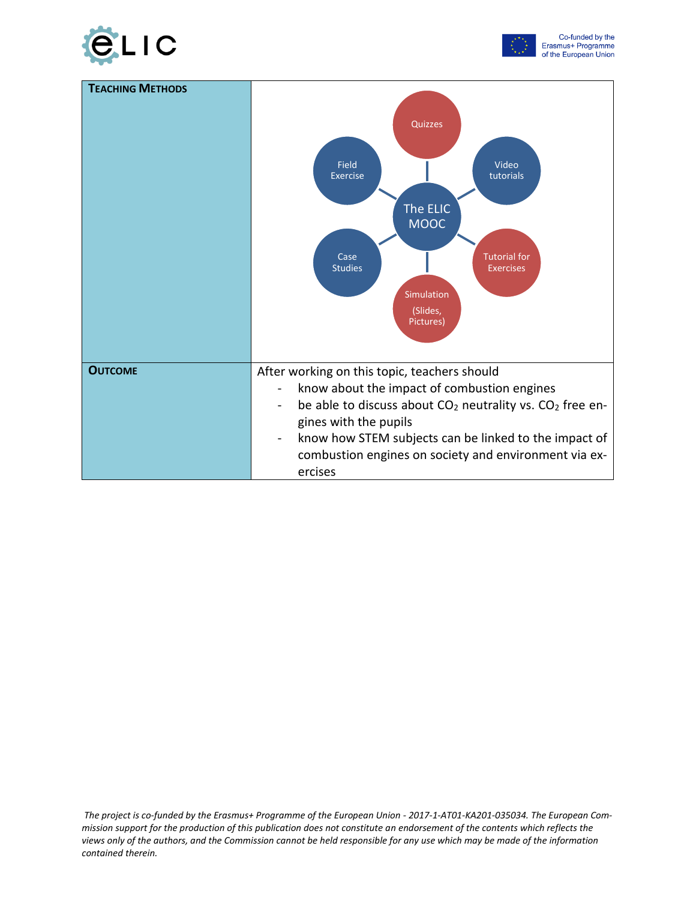



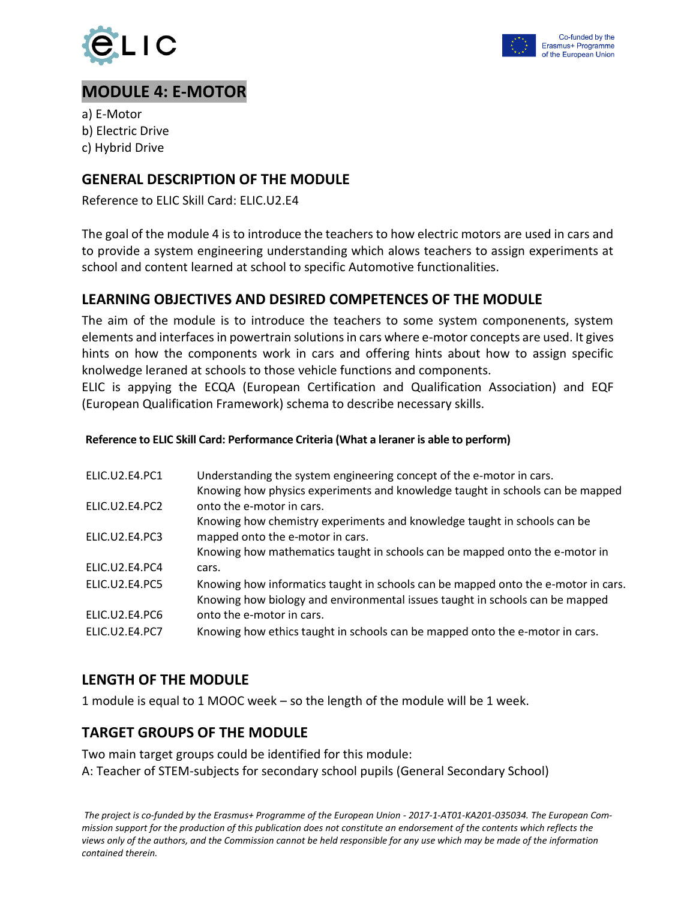



## **MODULE 4: E-MOTOR**

a) E-Motor b) Electric Drive c) Hybrid Drive

#### **GENERAL DESCRIPTION OF THE MODULE**

Reference to ELIC Skill Card: ELIC.U2.E4

The goal of the module 4 is to introduce the teachers to how electric motors are used in cars and to provide a system engineering understanding which alows teachers to assign experiments at school and content learned at school to specific Automotive functionalities.

#### **LEARNING OBJECTIVES AND DESIRED COMPETENCES OF THE MODULE**

The aim of the module is to introduce the teachers to some system componenents, system elements and interfaces in powertrain solutions in cars where e-motor concepts are used. It gives hints on how the components work in cars and offering hints about how to assign specific knolwedge leraned at schools to those vehicle functions and components.

ELIC is appying the ECQA (European Certification and Qualification Association) and EQF (European Qualification Framework) schema to describe necessary skills.

#### **Reference to ELIC Skill Card: Performance Criteria (What a leraner is able to perform)**

| ELIC.U2.E4.PC1        | Understanding the system engineering concept of the e-motor in cars.<br>Knowing how physics experiments and knowledge taught in schools can be mapped             |
|-----------------------|-------------------------------------------------------------------------------------------------------------------------------------------------------------------|
| ELIC.U2.E4.PC2        | onto the e-motor in cars.                                                                                                                                         |
|                       | Knowing how chemistry experiments and knowledge taught in schools can be                                                                                          |
| ELIC.U2.E4.PC3        | mapped onto the e-motor in cars.                                                                                                                                  |
|                       | Knowing how mathematics taught in schools can be mapped onto the e-motor in                                                                                       |
| ELIC.U2.E4.PC4        | cars.                                                                                                                                                             |
| ELIC.U2.E4.PC5        | Knowing how informatics taught in schools can be mapped onto the e-motor in cars.<br>Knowing how biology and environmental issues taught in schools can be mapped |
| ELIC.U2.E4.PC6        | onto the e-motor in cars.                                                                                                                                         |
| <b>ELIC.U2.E4.PC7</b> | Knowing how ethics taught in schools can be mapped onto the e-motor in cars.                                                                                      |

#### **LENGTH OF THE MODULE**

1 module is equal to 1 MOOC week – so the length of the module will be 1 week.

#### **TARGET GROUPS OF THE MODULE**

Two main target groups could be identified for this module: A: Teacher of STEM-subjects for secondary school pupils (General Secondary School)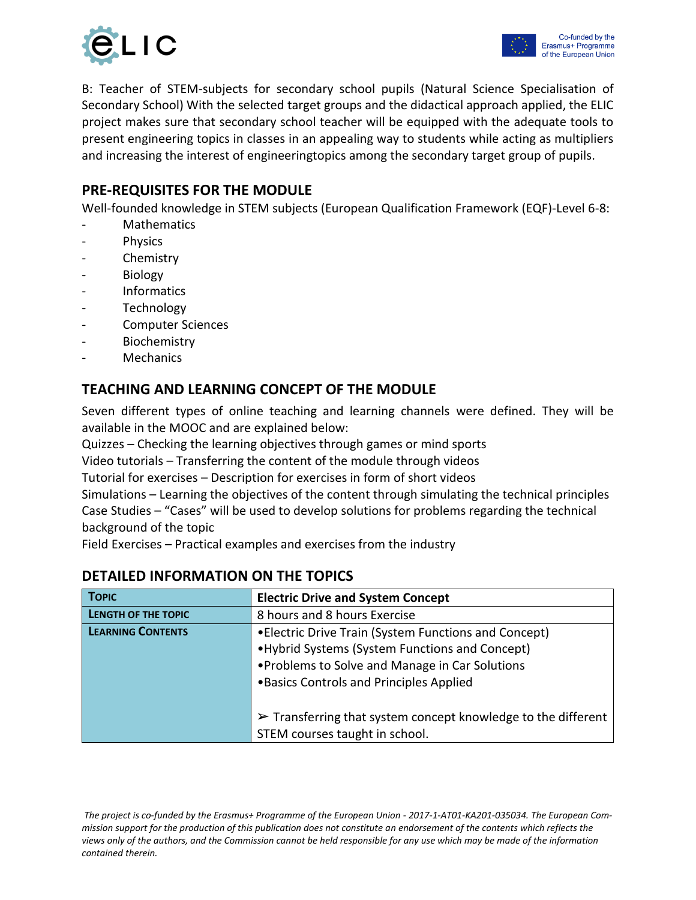

B: Teacher of STEM-subjects for secondary school pupils (Natural Science Specialisation of Secondary School) With the selected target groups and the didactical approach applied, the ELIC project makes sure that secondary school teacher will be equipped with the adequate tools to present engineering topics in classes in an appealing way to students while acting as multipliers and increasing the interest of engineeringtopics among the secondary target group of pupils.

#### **PRE-REQUISITES FOR THE MODULE**

Well-founded knowledge in STEM subjects (European Qualification Framework (EQF)-Level 6-8:

- Mathematics
- **Physics**
- **Chemistry**
- **Biology**
- Informatics
- **Technology**
- Computer Sciences
- **Biochemistry**
- **Mechanics**

#### **TEACHING AND LEARNING CONCEPT OF THE MODULE**

Seven different types of online teaching and learning channels were defined. They will be available in the MOOC and are explained below:

Quizzes – Checking the learning objectives through games or mind sports

Video tutorials – Transferring the content of the module through videos

Tutorial for exercises – Description for exercises in form of short videos

Simulations – Learning the objectives of the content through simulating the technical principles Case Studies – "Cases" will be used to develop solutions for problems regarding the technical background of the topic

Field Exercises – Practical examples and exercises from the industry

| <b>TOPIC</b>             | <b>Electric Drive and System Concept</b>                                     |
|--------------------------|------------------------------------------------------------------------------|
| LENGTH OF THE TOPIC      | 8 hours and 8 hours Exercise                                                 |
| <b>LEARNING CONTENTS</b> | • Electric Drive Train (System Functions and Concept)                        |
|                          | • Hybrid Systems (System Functions and Concept)                              |
|                          | • Problems to Solve and Manage in Car Solutions                              |
|                          | . Basics Controls and Principles Applied                                     |
|                          |                                                                              |
|                          | $\triangleright$ Transferring that system concept knowledge to the different |
|                          | STEM courses taught in school.                                               |

#### **DETAILED INFORMATION ON THE TOPICS**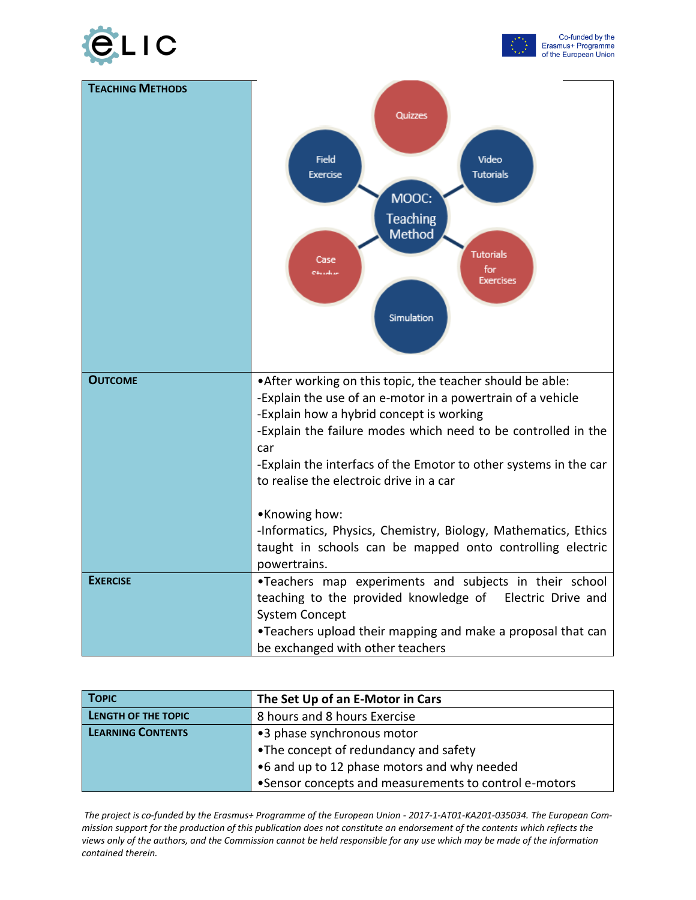



| <b>TEACHING METHODS</b> | Quizzes<br><b>Field</b><br>Video<br><b>Tutorials</b><br><b>Exercise</b><br>MOOC:<br><b>Teaching</b><br><b>Method</b><br><b>Tutorials</b><br>Case<br>for<br>04 sedam<br><b>Exercises</b><br>Simulation                                         |
|-------------------------|-----------------------------------------------------------------------------------------------------------------------------------------------------------------------------------------------------------------------------------------------|
| <b>OUTCOME</b>          | • After working on this topic, the teacher should be able:<br>-Explain the use of an e-motor in a powertrain of a vehicle<br>-Explain how a hybrid concept is working<br>-Explain the failure modes which need to be controlled in the<br>car |
|                         | -Explain the interfacs of the Emotor to other systems in the car<br>to realise the electroic drive in a car<br>•Knowing how:<br>-Informatics, Physics, Chemistry, Biology, Mathematics, Ethics                                                |
|                         | taught in schools can be mapped onto controlling electric<br>powertrains.                                                                                                                                                                     |
| <b>EXERCISE</b>         | .Teachers map experiments and subjects in their school<br>teaching to the provided knowledge of Electric Drive and                                                                                                                            |
|                         | <b>System Concept</b><br>. Teachers upload their mapping and make a proposal that can<br>be exchanged with other teachers                                                                                                                     |

| <b>TOPIC</b>             | The Set Up of an E-Motor in Cars                      |
|--------------------------|-------------------------------------------------------|
| LENGTH OF THE TOPIC      | 8 hours and 8 hours Exercise                          |
| <b>LEARNING CONTENTS</b> | •3 phase synchronous motor                            |
|                          | •The concept of redundancy and safety                 |
|                          | .6 and up to 12 phase motors and why needed           |
|                          | •Sensor concepts and measurements to control e-motors |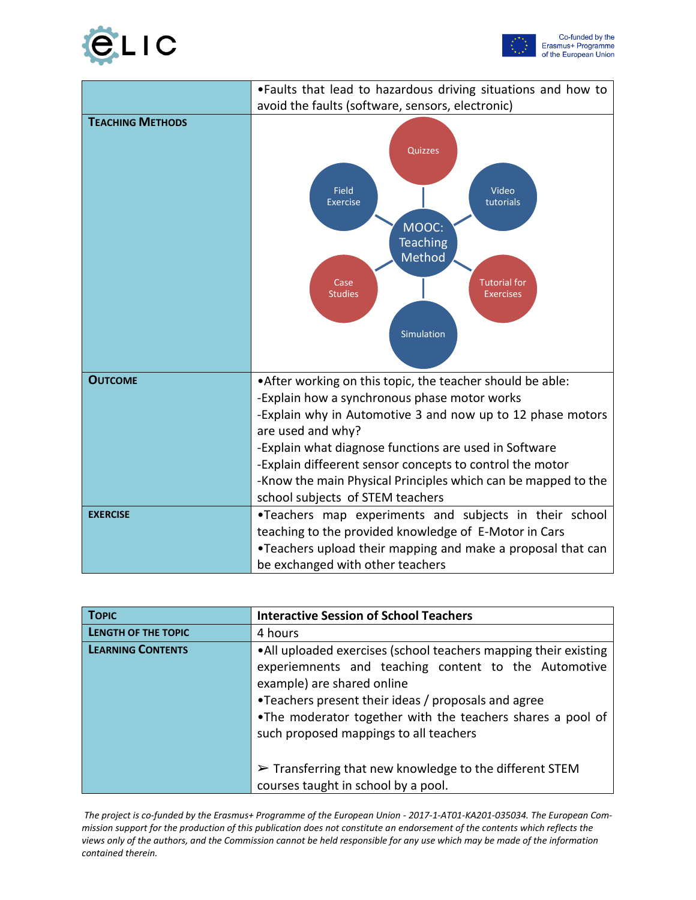



|                         | . Faults that lead to hazardous driving situations and how to                                                                                                                                                                                                                                                                                                                                                           |
|-------------------------|-------------------------------------------------------------------------------------------------------------------------------------------------------------------------------------------------------------------------------------------------------------------------------------------------------------------------------------------------------------------------------------------------------------------------|
|                         | avoid the faults (software, sensors, electronic)                                                                                                                                                                                                                                                                                                                                                                        |
| <b>TEACHING METHODS</b> | Quizzes<br><b>Field</b><br>Video<br>tutorials<br><b>Exercise</b><br>MOOC:<br><b>Teaching</b><br>Method<br><b>Tutorial for</b><br>Case<br><b>Studies</b><br><b>Exercises</b><br>Simulation                                                                                                                                                                                                                               |
| <b>OUTCOME</b>          | • After working on this topic, the teacher should be able:<br>-Explain how a synchronous phase motor works<br>-Explain why in Automotive 3 and now up to 12 phase motors<br>are used and why?<br>-Explain what diagnose functions are used in Software<br>-Explain diffeerent sensor concepts to control the motor<br>-Know the main Physical Principles which can be mapped to the<br>school subjects of STEM teachers |
| <b>EXERCISE</b>         | .Teachers map experiments and subjects in their school<br>teaching to the provided knowledge of E-Motor in Cars<br>•Teachers upload their mapping and make a proposal that can<br>be exchanged with other teachers                                                                                                                                                                                                      |

| <b>TOPIC</b>               | <b>Interactive Session of School Teachers</b>                                                                                                                                                                                                                                                                        |
|----------------------------|----------------------------------------------------------------------------------------------------------------------------------------------------------------------------------------------------------------------------------------------------------------------------------------------------------------------|
| <b>LENGTH OF THE TOPIC</b> | 4 hours                                                                                                                                                                                                                                                                                                              |
| <b>LEARNING CONTENTS</b>   | •All uploaded exercises (school teachers mapping their existing<br>experiemnents and teaching content to the Automotive<br>example) are shared online<br>•Teachers present their ideas / proposals and agree<br>•The moderator together with the teachers shares a pool of<br>such proposed mappings to all teachers |
|                            | $\triangleright$ Transferring that new knowledge to the different STEM                                                                                                                                                                                                                                               |
|                            | courses taught in school by a pool.                                                                                                                                                                                                                                                                                  |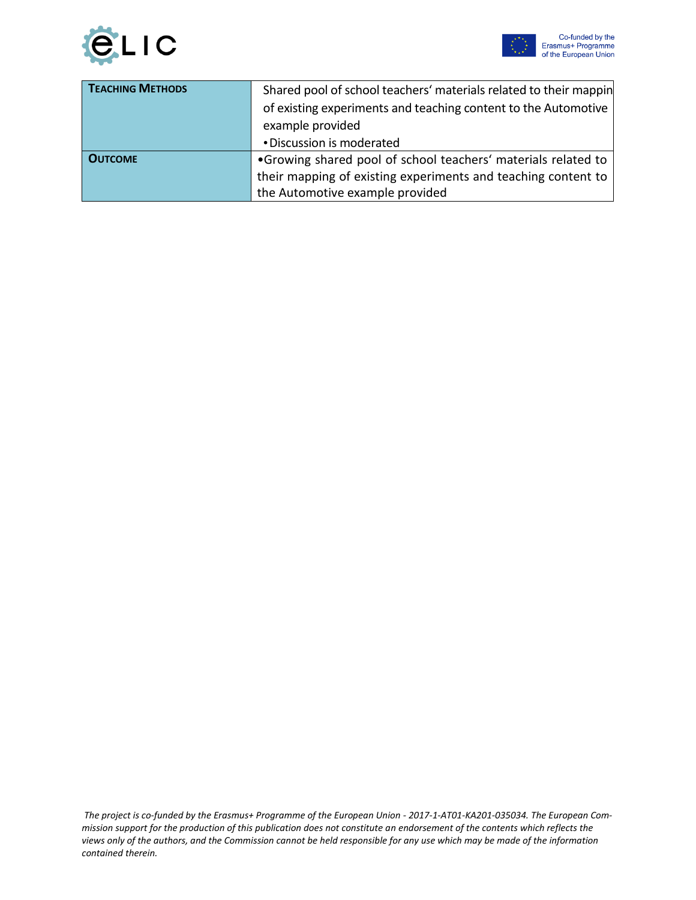

| <b>TEACHING METHODS</b> | Shared pool of school teachers' materials related to their mappin<br>of existing experiments and teaching content to the Automotive<br>example provided |
|-------------------------|---------------------------------------------------------------------------------------------------------------------------------------------------------|
|                         | • Discussion is moderated                                                                                                                               |
| <b>OUTCOME</b>          | •Growing shared pool of school teachers' materials related to                                                                                           |
|                         | their mapping of existing experiments and teaching content to                                                                                           |
|                         | the Automotive example provided                                                                                                                         |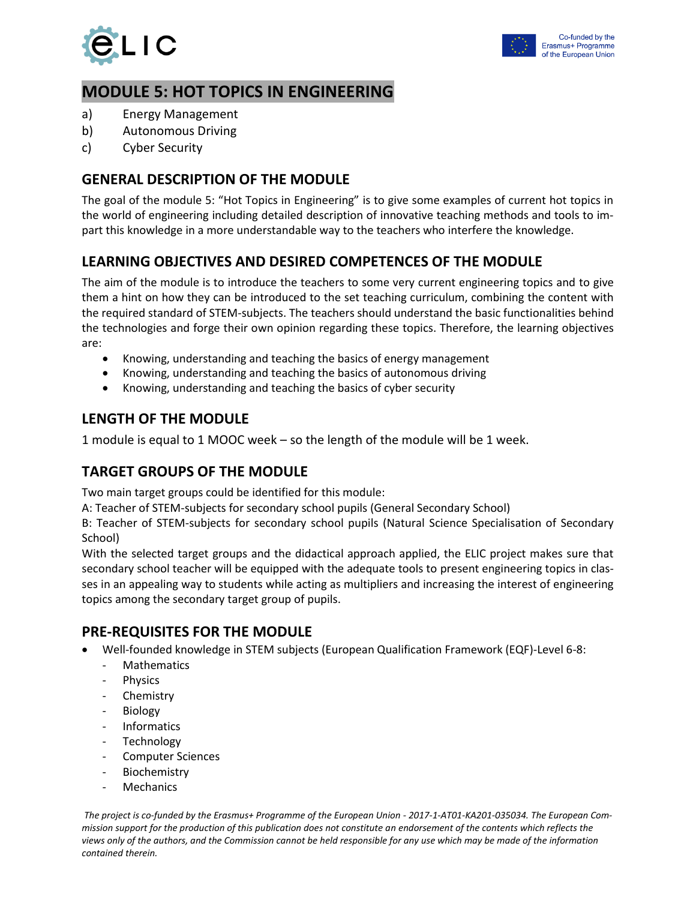

## **MODULE 5: HOT TOPICS IN ENGINEERING**

- a) Energy Management
- b) Autonomous Driving
- c) Cyber Security

#### **GENERAL DESCRIPTION OF THE MODULE**

The goal of the module 5: "Hot Topics in Engineering" is to give some examples of current hot topics in the world of engineering including detailed description of innovative teaching methods and tools to impart this knowledge in a more understandable way to the teachers who interfere the knowledge.

## **LEARNING OBJECTIVES AND DESIRED COMPETENCES OF THE MODULE**

The aim of the module is to introduce the teachers to some very current engineering topics and to give them a hint on how they can be introduced to the set teaching curriculum, combining the content with the required standard of STEM-subjects. The teachers should understand the basic functionalities behind the technologies and forge their own opinion regarding these topics. Therefore, the learning objectives are:

- Knowing, understanding and teaching the basics of energy management
- Knowing, understanding and teaching the basics of autonomous driving
- Knowing, understanding and teaching the basics of cyber security

#### **LENGTH OF THE MODULE**

1 module is equal to 1 MOOC week – so the length of the module will be 1 week.

## **TARGET GROUPS OF THE MODULE**

Two main target groups could be identified for this module:

A: Teacher of STEM-subjects for secondary school pupils (General Secondary School)

B: Teacher of STEM-subjects for secondary school pupils (Natural Science Specialisation of Secondary School)

With the selected target groups and the didactical approach applied, the ELIC project makes sure that secondary school teacher will be equipped with the adequate tools to present engineering topics in classes in an appealing way to students while acting as multipliers and increasing the interest of engineering topics among the secondary target group of pupils.

#### **PRE-REQUISITES FOR THE MODULE**

- Well-founded knowledge in STEM subjects (European Qualification Framework (EQF)-Level 6-8:
	- **Mathematics**
	- Physics
	- **Chemistry**
	- **Biology**
	- Informatics
	- **Technology**
	- Computer Sciences
	- Biochemistry
	- Mechanics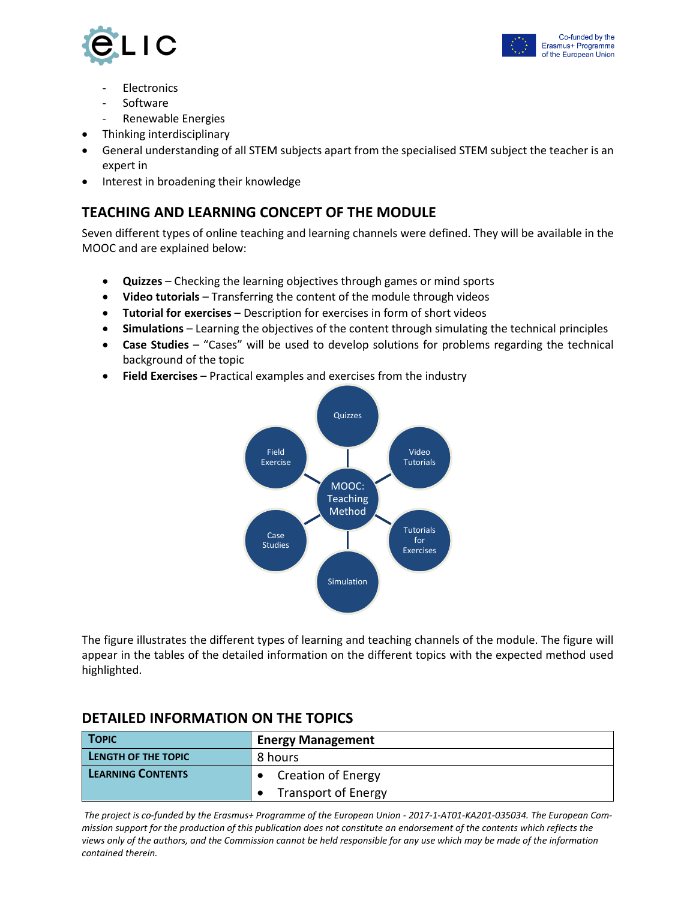



- **Electronics**
- Software
- Renewable Energies
- Thinking interdisciplinary
- General understanding of all STEM subjects apart from the specialised STEM subject the teacher is an expert in
- Interest in broadening their knowledge

#### **TEACHING AND LEARNING CONCEPT OF THE MODULE**

Seven different types of online teaching and learning channels were defined. They will be available in the MOOC and are explained below:

- **Quizzes** Checking the learning objectives through games or mind sports
- **Video tutorials** Transferring the content of the module through videos
- **Tutorial for exercises** Description for exercises in form of short videos
- **Simulations** Learning the objectives of the content through simulating the technical principles
- **Case Studies** "Cases" will be used to develop solutions for problems regarding the technical background of the topic
- **Field Exercises** Practical examples and exercises from the industry



The figure illustrates the different types of learning and teaching channels of the module. The figure will appear in the tables of the detailed information on the different topics with the expected method used highlighted.

| <b>TOPIC</b>             | <b>Energy Management</b>   |
|--------------------------|----------------------------|
| LENGTH OF THE TOPIC      | 8 hours                    |
| <b>LEARNING CONTENTS</b> | <b>Creation of Energy</b>  |
|                          | <b>Transport of Energy</b> |

#### **DETAILED INFORMATION ON THE TOPICS**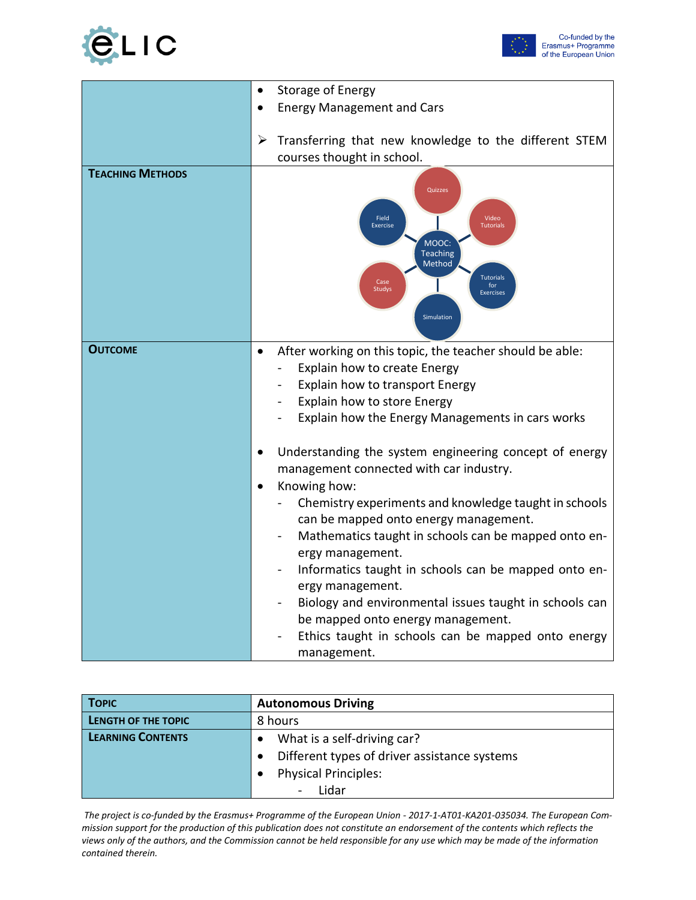



|                         | <b>Storage of Energy</b><br>$\bullet$                                                                                                                                                                                                                                                                                                                                                                                                                                                                                                                                                                                                                                             |
|-------------------------|-----------------------------------------------------------------------------------------------------------------------------------------------------------------------------------------------------------------------------------------------------------------------------------------------------------------------------------------------------------------------------------------------------------------------------------------------------------------------------------------------------------------------------------------------------------------------------------------------------------------------------------------------------------------------------------|
|                         | <b>Energy Management and Cars</b><br>$\bullet$                                                                                                                                                                                                                                                                                                                                                                                                                                                                                                                                                                                                                                    |
|                         |                                                                                                                                                                                                                                                                                                                                                                                                                                                                                                                                                                                                                                                                                   |
|                         | Transferring that new knowledge to the different STEM<br>➤                                                                                                                                                                                                                                                                                                                                                                                                                                                                                                                                                                                                                        |
|                         | courses thought in school.                                                                                                                                                                                                                                                                                                                                                                                                                                                                                                                                                                                                                                                        |
| <b>TEACHING METHODS</b> | Quizzes<br>Field<br>Video<br><b>Exercise</b><br><b>Tutorials</b><br>MOOC:<br><b>Teaching</b><br>Method<br><b>Tutorials</b><br>Case<br>for<br><b>Studys</b><br><b>Exercises</b><br>Simulation                                                                                                                                                                                                                                                                                                                                                                                                                                                                                      |
| <b>OUTCOME</b>          | After working on this topic, the teacher should be able:<br>$\bullet$<br>Explain how to create Energy<br>Explain how to transport Energy<br>Explain how to store Energy<br>Explain how the Energy Managements in cars works<br>Understanding the system engineering concept of energy<br>management connected with car industry.<br>Knowing how:<br>$\bullet$<br>Chemistry experiments and knowledge taught in schools<br>can be mapped onto energy management.<br>Mathematics taught in schools can be mapped onto en-<br>ergy management.<br>Informatics taught in schools can be mapped onto en-<br>ergy management.<br>Biology and environmental issues taught in schools can |
|                         | be mapped onto energy management.<br>Ethics taught in schools can be mapped onto energy<br>management.                                                                                                                                                                                                                                                                                                                                                                                                                                                                                                                                                                            |

| <b>TOPIC</b>             | <b>Autonomous Driving</b>                    |
|--------------------------|----------------------------------------------|
| LENGTH OF THE TOPIC      | 8 hours                                      |
| <b>LEARNING CONTENTS</b> | What is a self-driving car?                  |
|                          | Different types of driver assistance systems |
|                          | <b>Physical Principles:</b>                  |
|                          | Lidar                                        |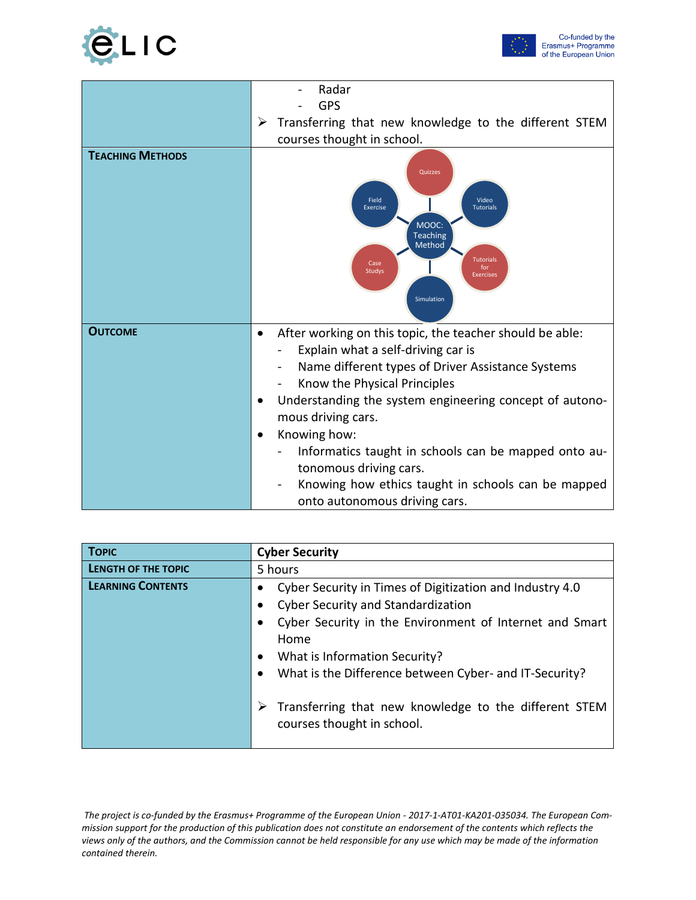



|                         | Radar<br><b>GPS</b>                                                                                                                                                                                                                                                                                                                                                                                                                                                |
|-------------------------|--------------------------------------------------------------------------------------------------------------------------------------------------------------------------------------------------------------------------------------------------------------------------------------------------------------------------------------------------------------------------------------------------------------------------------------------------------------------|
|                         | Transferring that new knowledge to the different STEM<br>➤<br>courses thought in school.                                                                                                                                                                                                                                                                                                                                                                           |
| <b>TEACHING METHODS</b> | Quizzes<br>Field<br>Video<br>Exercise<br><b>Tutorials</b><br>MOOC:<br><b>Teaching</b><br>Method<br><b>Tutorials</b><br>Case<br>for<br>Studys<br><b>Exercises</b><br>Simulation                                                                                                                                                                                                                                                                                     |
| <b>OUTCOME</b>          | After working on this topic, the teacher should be able:<br>٠<br>Explain what a self-driving car is<br>Name different types of Driver Assistance Systems<br>Know the Physical Principles<br>Understanding the system engineering concept of autono-<br>mous driving cars.<br>Knowing how:<br>Informatics taught in schools can be mapped onto au-<br>tonomous driving cars.<br>Knowing how ethics taught in schools can be mapped<br>onto autonomous driving cars. |

| <b>TOPIC</b>               | <b>Cyber Security</b>                                                                    |
|----------------------------|------------------------------------------------------------------------------------------|
| <b>LENGTH OF THE TOPIC</b> | 5 hours                                                                                  |
| <b>LEARNING CONTENTS</b>   | Cyber Security in Times of Digitization and Industry 4.0                                 |
|                            | <b>Cyber Security and Standardization</b>                                                |
|                            | Cyber Security in the Environment of Internet and Smart                                  |
|                            | Home                                                                                     |
|                            | What is Information Security?<br>٠                                                       |
|                            | What is the Difference between Cyber- and IT-Security?                                   |
|                            | Transferring that new knowledge to the different STEM<br>➤<br>courses thought in school. |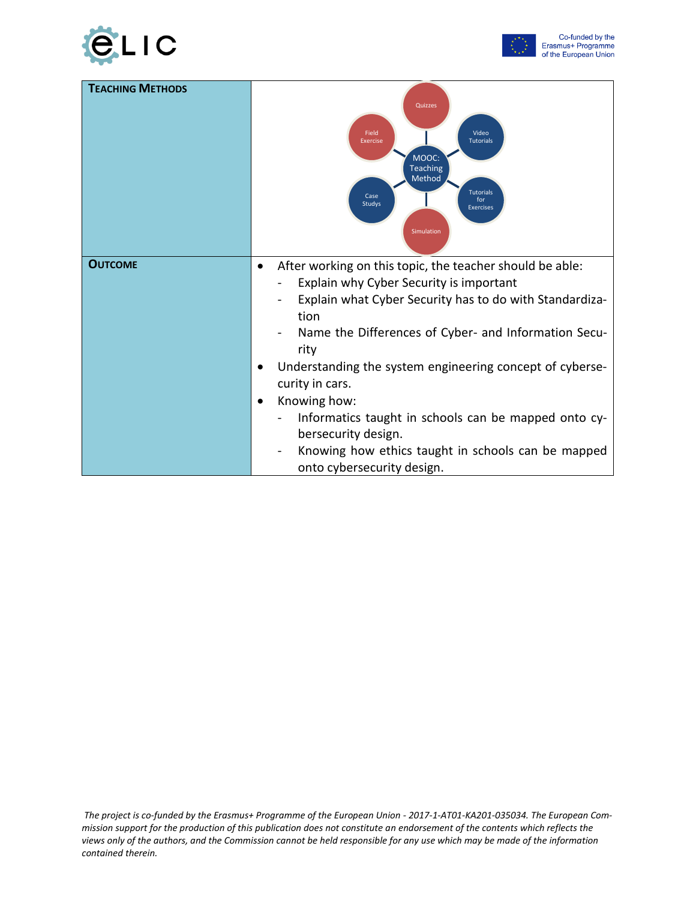



| <b>TEACHING METHODS</b> | Quizzes<br>Field<br>Video<br><b>Tutorials</b><br><b>Exercise</b><br>MOOC:<br><b>Teaching</b><br>Method<br><b>Tutorials</b><br>Case<br>for<br>Studys<br><b>Exercises</b><br>Simulation                                                                                                                                                                                                                                                                                                                                 |
|-------------------------|-----------------------------------------------------------------------------------------------------------------------------------------------------------------------------------------------------------------------------------------------------------------------------------------------------------------------------------------------------------------------------------------------------------------------------------------------------------------------------------------------------------------------|
| <b>OUTCOME</b>          | After working on this topic, the teacher should be able:<br>Explain why Cyber Security is important<br>Explain what Cyber Security has to do with Standardiza-<br>tion<br>Name the Differences of Cyber- and Information Secu-<br>rity<br>Understanding the system engineering concept of cyberse-<br>curity in cars.<br>Knowing how:<br>$\bullet$<br>Informatics taught in schools can be mapped onto cy-<br>bersecurity design.<br>Knowing how ethics taught in schools can be mapped<br>onto cybersecurity design. |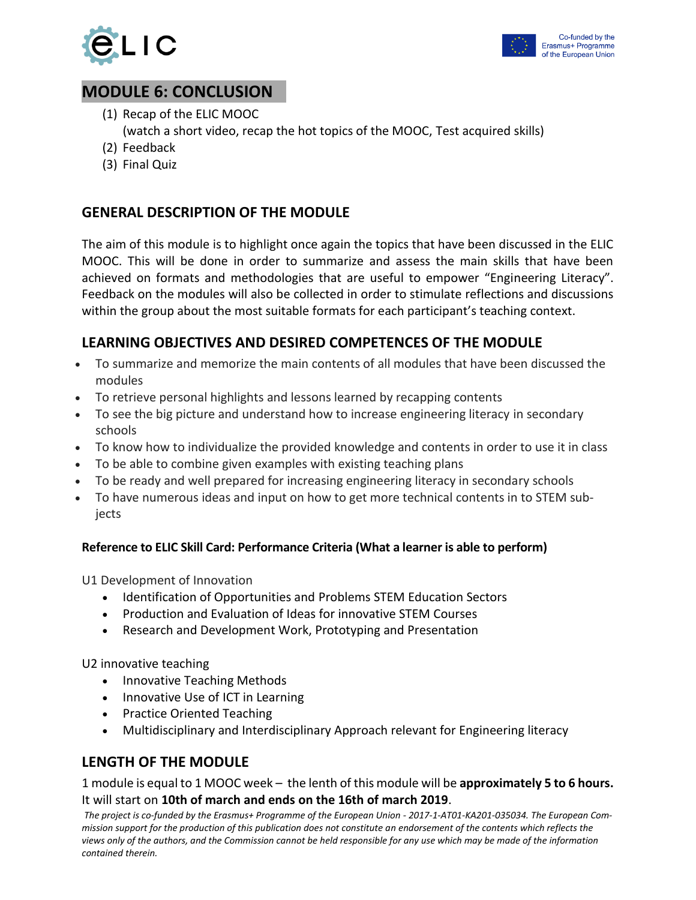



## **MODULE 6: CONCLUSION**

(1) Recap of the ELIC MOOC

(watch a short video, recap the hot topics of the MOOC, Test acquired skills)

- (2) Feedback
- (3) Final Quiz

#### **GENERAL DESCRIPTION OF THE MODULE**

The aim of this module is to highlight once again the topics that have been discussed in the ELIC MOOC. This will be done in order to summarize and assess the main skills that have been achieved on formats and methodologies that are useful to empower "Engineering Literacy". Feedback on the modules will also be collected in order to stimulate reflections and discussions within the group about the most suitable formats for each participant's teaching context.

#### **LEARNING OBJECTIVES AND DESIRED COMPETENCES OF THE MODULE**

- To summarize and memorize the main contents of all modules that have been discussed the modules
- To retrieve personal highlights and lessons learned by recapping contents
- To see the big picture and understand how to increase engineering literacy in secondary schools
- To know how to individualize the provided knowledge and contents in order to use it in class
- To be able to combine given examples with existing teaching plans
- To be ready and well prepared for increasing engineering literacy in secondary schools
- To have numerous ideas and input on how to get more technical contents in to STEM subjects

#### **Reference to ELIC Skill Card: Performance Criteria (What a learner is able to perform)**

U1 Development of Innovation

- Identification of Opportunities and Problems STEM Education Sectors
- Production and Evaluation of Ideas for innovative STEM Courses
- Research and Development Work, Prototyping and Presentation

U2 innovative teaching

- Innovative Teaching Methods
- Innovative Use of ICT in Learning
- Practice Oriented Teaching
- Multidisciplinary and Interdisciplinary Approach relevant for Engineering literacy

#### **LENGTH OF THE MODULE**

1 module is equal to 1 MOOC week – the lenth of this module will be **approximately 5 to 6 hours.** It will start on **10th of march and ends on the 16th of march 2019**.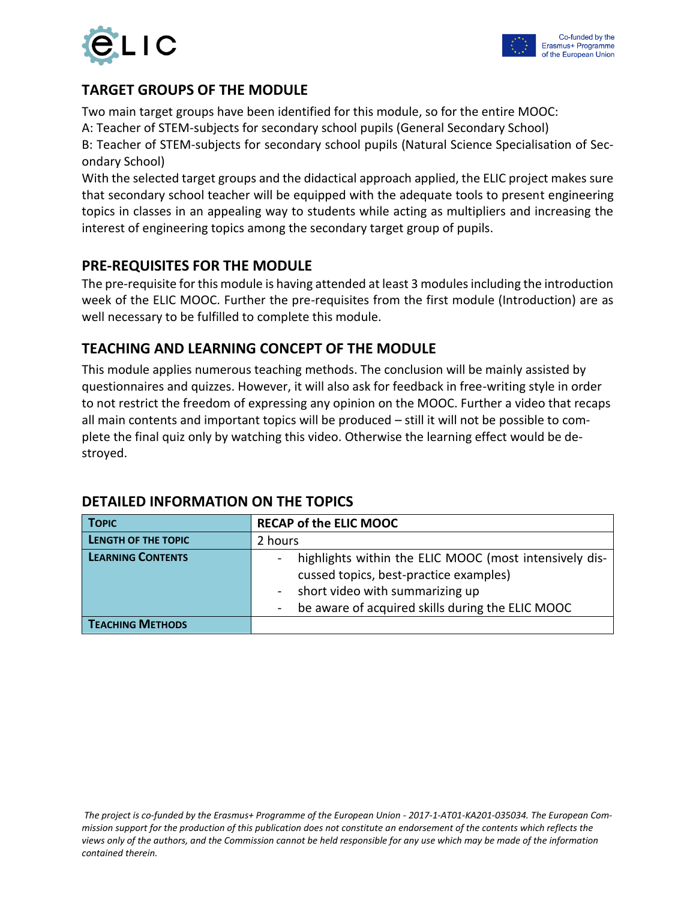

#### **TARGET GROUPS OF THE MODULE**

Two main target groups have been identified for this module, so for the entire MOOC:

A: Teacher of STEM-subjects for secondary school pupils (General Secondary School)

B: Teacher of STEM-subjects for secondary school pupils (Natural Science Specialisation of Secondary School)

With the selected target groups and the didactical approach applied, the ELIC project makes sure that secondary school teacher will be equipped with the adequate tools to present engineering topics in classes in an appealing way to students while acting as multipliers and increasing the interest of engineering topics among the secondary target group of pupils.

#### **PRE-REQUISITES FOR THE MODULE**

The pre-requisite for this module is having attended at least 3 modules including the introduction week of the ELIC MOOC. Further the pre-requisites from the first module (Introduction) are as well necessary to be fulfilled to complete this module.

#### **TEACHING AND LEARNING CONCEPT OF THE MODULE**

This module applies numerous teaching methods. The conclusion will be mainly assisted by questionnaires and quizzes. However, it will also ask for feedback in free-writing style in order to not restrict the freedom of expressing any opinion on the MOOC. Further a video that recaps all main contents and important topics will be produced – still it will not be possible to complete the final quiz only by watching this video. Otherwise the learning effect would be destroyed.

| <b>TOPIC</b>             | <b>RECAP of the ELIC MOOC</b>                                                                                                                                                                             |
|--------------------------|-----------------------------------------------------------------------------------------------------------------------------------------------------------------------------------------------------------|
| LENGTH OF THE TOPIC      | 2 hours                                                                                                                                                                                                   |
| <b>LEARNING CONTENTS</b> | highlights within the ELIC MOOC (most intensively dis-<br>cussed topics, best-practice examples)<br>short video with summarizing up<br>$\blacksquare$<br>be aware of acquired skills during the ELIC MOOC |
| <b>TEACHING METHODS</b>  |                                                                                                                                                                                                           |

#### **DETAILED INFORMATION ON THE TOPICS**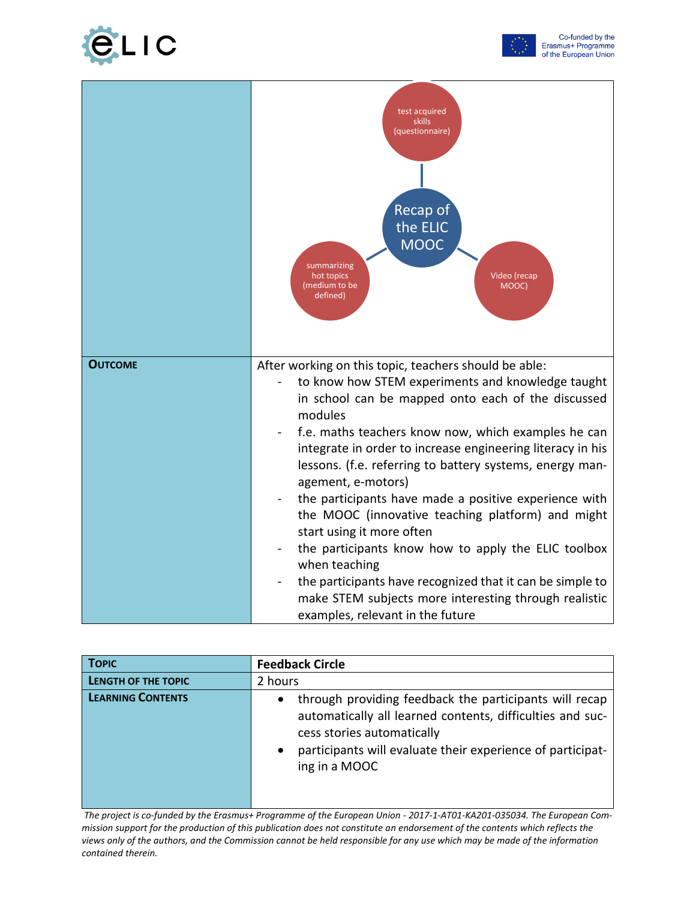



|                | test acquired<br>skills<br>(questionnaire)<br>Recap of<br>the ELIC<br><b>MOOC</b><br>summarizing<br>Video (recap<br>hot topics<br>(medium to be<br>MOOC)<br>defined)                                                                                                                                                                                                                                                                                                                                                                                                                                                                                                                                                                                            |
|----------------|-----------------------------------------------------------------------------------------------------------------------------------------------------------------------------------------------------------------------------------------------------------------------------------------------------------------------------------------------------------------------------------------------------------------------------------------------------------------------------------------------------------------------------------------------------------------------------------------------------------------------------------------------------------------------------------------------------------------------------------------------------------------|
| <b>OUTCOME</b> | After working on this topic, teachers should be able:<br>to know how STEM experiments and knowledge taught<br>in school can be mapped onto each of the discussed<br>modules<br>f.e. maths teachers know now, which examples he can<br>integrate in order to increase engineering literacy in his<br>lessons. (f.e. referring to battery systems, energy man-<br>agement, e-motors)<br>the participants have made a positive experience with<br>the MOOC (innovative teaching platform) and might<br>start using it more often<br>the participants know how to apply the ELIC toolbox<br>when teaching<br>the participants have recognized that it can be simple to<br>make STEM subjects more interesting through realistic<br>examples, relevant in the future |

| <b>TOPIC</b>               | <b>Feedback Circle</b>                                                                                                                                                                                                                                     |
|----------------------------|------------------------------------------------------------------------------------------------------------------------------------------------------------------------------------------------------------------------------------------------------------|
| <b>LENGTH OF THE TOPIC</b> | 2 hours                                                                                                                                                                                                                                                    |
| <b>LEARNING CONTENTS</b>   | through providing feedback the participants will recap<br>$\bullet$<br>automatically all learned contents, difficulties and suc-<br>cess stories automatically<br>participants will evaluate their experience of participat-<br>$\bullet$<br>ing in a MOOC |